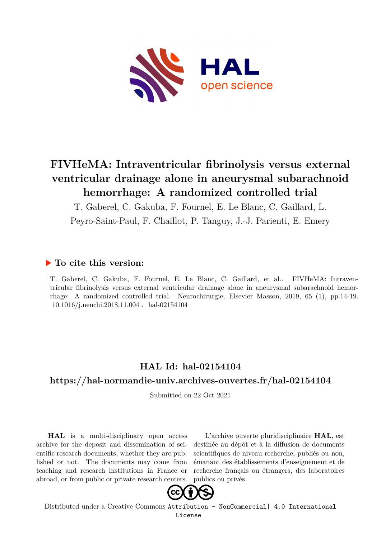

# **FIVHeMA: Intraventricular fibrinolysis versus external ventricular drainage alone in aneurysmal subarachnoid hemorrhage: A randomized controlled trial**

T. Gaberel, C. Gakuba, F. Fournel, E. Le Blanc, C. Gaillard, L.

Peyro-Saint-Paul, F. Chaillot, P. Tanguy, J.-J. Parienti, E. Emery

## **To cite this version:**

T. Gaberel, C. Gakuba, F. Fournel, E. Le Blanc, C. Gaillard, et al.. FIVHeMA: Intraventricular fibrinolysis versus external ventricular drainage alone in aneurysmal subarachnoid hemorrhage: A randomized controlled trial. Neurochirurgie, Elsevier Masson, 2019, 65 (1), pp.14-19.  $10.1016$ /i.neuchi.2018.11.004. hal-02154104

# **HAL Id: hal-02154104**

## **<https://hal-normandie-univ.archives-ouvertes.fr/hal-02154104>**

Submitted on 22 Oct 2021

**HAL** is a multi-disciplinary open access archive for the deposit and dissemination of scientific research documents, whether they are published or not. The documents may come from teaching and research institutions in France or abroad, or from public or private research centers.

L'archive ouverte pluridisciplinaire **HAL**, est destinée au dépôt et à la diffusion de documents scientifiques de niveau recherche, publiés ou non, émanant des établissements d'enseignement et de recherche français ou étrangers, des laboratoires publics ou privés.



Distributed under a Creative Commons [Attribution - NonCommercial| 4.0 International](http://creativecommons.org/licenses/by-nc/4.0/) [License](http://creativecommons.org/licenses/by-nc/4.0/)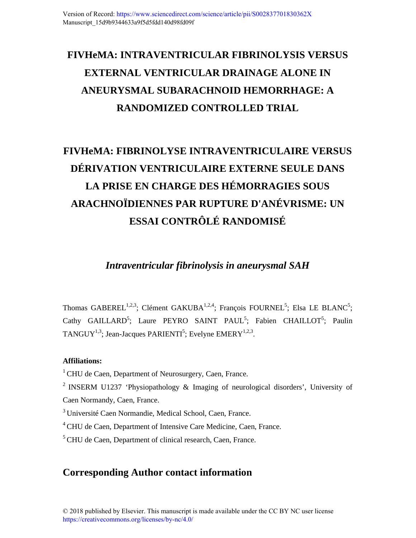# **FIVHeMA: INTRAVENTRICULAR FIBRINOLYSIS VERSUS EXTERNAL VENTRICULAR DRAINAGE ALONE IN ANEURYSMAL SUBARACHNOID HEMORRHAGE: A RANDOMIZED CONTROLLED TRIAL**

# **FIVHeMA: FIBRINOLYSE INTRAVENTRICULAIRE VERSUS DÉRIVATION VENTRICULAIRE EXTERNE SEULE DANS LA PRISE EN CHARGE DES HÉMORRAGIES SOUS ARACHNOÏDIENNES PAR RUPTURE D'ANÉVRISME: UN ESSAI CONTRÔLÉ RANDOMISÉ**

*Intraventricular fibrinolysis in aneurysmal SAH* 

Thomas GABEREL<sup>1,2,3</sup>; Clément GAKUBA<sup>1,2,4</sup>; François FOURNEL<sup>5</sup>; Elsa LE BLANC<sup>5</sup>; Cathy GAILLARD<sup>5</sup>; Laure PEYRO SAINT PAUL<sup>5</sup>; Fabien CHAILLOT<sup>5</sup>; Paulin TANGUY<sup>1,3</sup>; Jean-Jacques PARIENTI<sup>5</sup>; Evelyne EMERY<sup>1,2,3</sup>.

#### **Affiliations:**

 $1$ CHU de Caen, Department of Neurosurgery, Caen, France.

<sup>2</sup> INSERM U1237 'Physiopathology  $\&$  Imaging of neurological disorders', University of Caen Normandy, Caen, France.

<sup>3</sup> Université Caen Normandie, Medical School, Caen, France.

<sup>4</sup> CHU de Caen, Department of Intensive Care Medicine, Caen, France.

<sup>5</sup> CHU de Caen, Department of clinical research, Caen, France.

## **Corresponding Author contact information**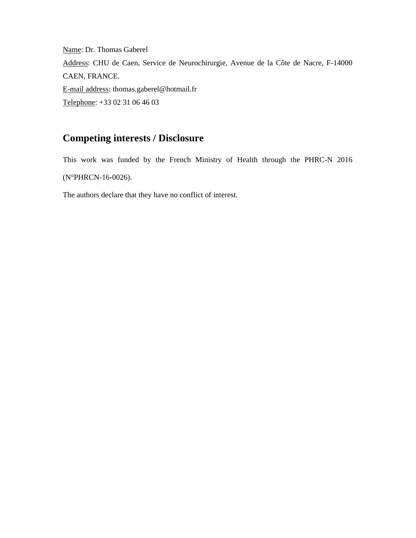Name: Dr. Thomas Gaberel Address: CHU de Caen, Service de Neurochirurgie, Avenue de la Côte de Nacre, F-14000 CAEN, FRANCE. E-mail address: thomas.gaberel@hotmail.fr Telephone: +33 02 31 06 46 03

## **Competing interests / Disclosure**

This work was funded by the French Ministry of Health through the PHRC-N 2016 (N°PHRCN-16-0026).

The authors declare that they have no conflict of interest.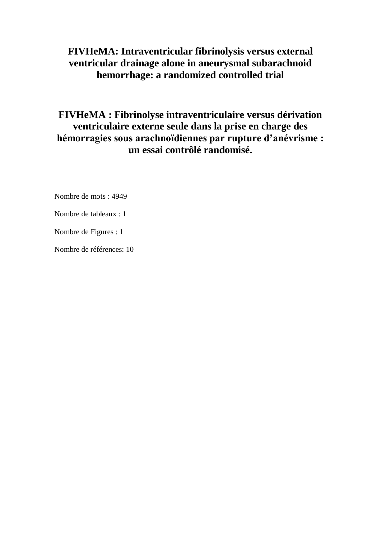## **FIVHeMA: Intraventricular fibrinolysis versus external ventricular drainage alone in aneurysmal subarachnoid hemorrhage: a randomized controlled trial**

# **FIVHeMA : Fibrinolyse intraventriculaire versus dérivation ventriculaire externe seule dans la prise en charge des hémorragies sous arachnoïdiennes par rupture d'anévrisme : un essai contrôlé randomisé.**

Nombre de mots : 4949

Nombre de tableaux : 1

Nombre de Figures : 1

Nombre de références: 10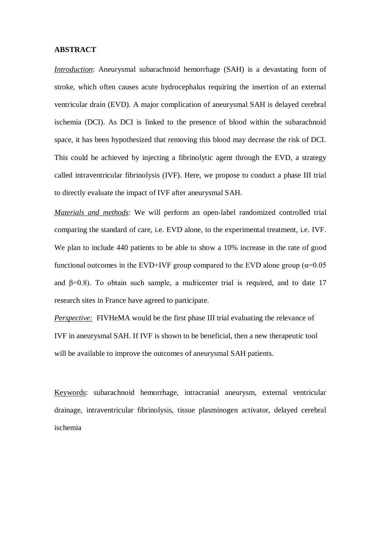#### **ABSTRACT**

*Introduction*: Aneurysmal subarachnoid hemorrhage (SAH) is a devastating form of stroke, which often causes acute hydrocephalus requiring the insertion of an external ventricular drain (EVD). A major complication of aneurysmal SAH is delayed cerebral ischemia (DCI). As DCI is linked to the presence of blood within the subarachnoid space, it has been hypothesized that removing this blood may decrease the risk of DCI. This could be achieved by injecting a fibrinolytic agent through the EVD, a strategy called intraventricular fibrinolysis (IVF). Here, we propose to conduct a phase III trial to directly evaluate the impact of IVF after aneurysmal SAH.

*Materials and methods*: We will perform an open-label randomized controlled trial comparing the standard of care, i.e. EVD alone, to the experimental treatment, i.e. IVF. We plan to include 440 patients to be able to show a 10% increase in the rate of good functional outcomes in the EVD+IVF group compared to the EVD alone group ( $\alpha$ =0.05 and  $\beta$ =0.8). To obtain such sample, a multicenter trial is required, and to date 17 research sites in France have agreed to participate.

*Perspective:* FIVHeMA would be the first phase III trial evaluating the relevance of IVF in aneurysmal SAH. If IVF is shown to be beneficial, then a new therapeutic tool will be available to improve the outcomes of aneurysmal SAH patients.

Keywords: subarachnoid hemorrhage, intracranial aneurysm, external ventricular drainage, intraventricular fibrinolysis, tissue plasminogen activator, delayed cerebral ischemia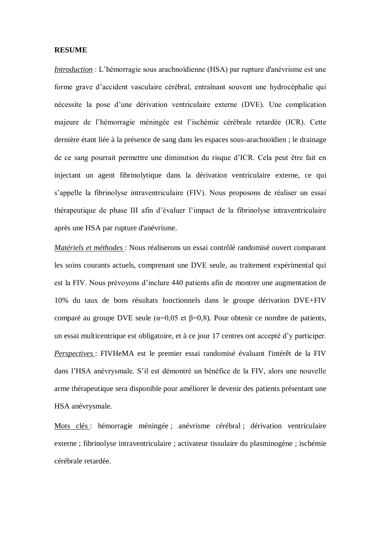#### **RESUME**

*Introduction* : L'hémorragie sous arachnoïdienne (HSA) par rupture d'anévrisme est une forme grave d'accident vasculaire cérébral, entraînant souvent une hydrocéphalie qui nécessite la pose d'une dérivation ventriculaire externe (DVE). Une complication majeure de l'hémorragie méningée est l'ischémie cérébrale retardée (ICR). Cette dernière étant liée à la présence de sang dans les espaces sous-arachnoïdien ; le drainage de ce sang pourrait permettre une diminution du risque d'ICR. Cela peut être fait en injectant un agent fibrinolytique dans la dérivation ventriculaire externe, ce qui s'appelle la fibrinolyse intraventriculaire (FIV). Nous proposons de réaliser un essai thérapeutique de phase III afin d'évaluer l'impact de la fibrinolyse intraventriculaire après une HSA par rupture d'anévrisme.

*Matériels et méthodes* : Nous réaliserons un essai contrôlé randomisé ouvert comparant les soins courants actuels, comprenant une DVE seule, au traitement expérimental qui est la FIV. Nous prévoyons d'inclure 440 patients afin de montrer une augmentation de 10% du taux de bons résultats fonctionnels dans le groupe dérivation DVE+FIV comparé au groupe DVE seule ( $\alpha$ =0,05 et β=0,8). Pour obtenir ce nombre de patients, un essai multicentrique est obligatoire, et à ce jour 17 centres ont accepté d'y participer. *Perspectives* : FIVHeMA est le premier essai randomisé évaluant l'intérêt de la FIV dans l'HSA anévrysmale. S'il est démontré un bénéfice de la FIV, alors une nouvelle arme thérapeutique sera disponible pour améliorer le devenir des patients présentant une HSA anévrysmale.

Mots clés : hémorragie méningée ; anévrisme cérébral ; dérivation ventriculaire externe ; fibrinolyse intraventriculaire ; activateur tissulaire du plasminogène ; ischémie cérébrale retardée.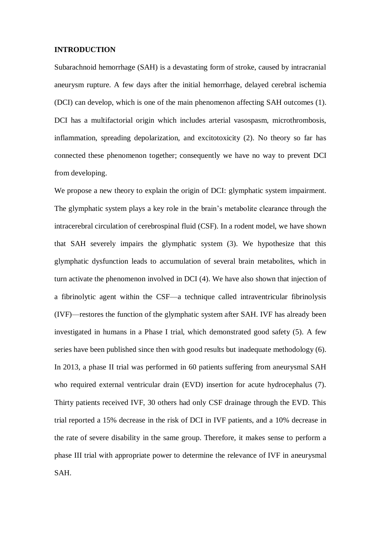#### **INTRODUCTION**

Subarachnoid hemorrhage (SAH) is a devastating form of stroke, caused by intracranial aneurysm rupture. A few days after the initial hemorrhage, delayed cerebral ischemia (DCI) can develop, which is one of the main phenomenon affecting SAH outcomes (1). DCI has a multifactorial origin which includes arterial vasospasm, microthrombosis, inflammation, spreading depolarization, and excitotoxicity (2). No theory so far has connected these phenomenon together; consequently we have no way to prevent DCI from developing.

We propose a new theory to explain the origin of DCI: glymphatic system impairment. The glymphatic system plays a key role in the brain's metabolite clearance through the intracerebral circulation of cerebrospinal fluid (CSF). In a rodent model, we have shown that SAH severely impairs the glymphatic system (3). We hypothesize that this glymphatic dysfunction leads to accumulation of several brain metabolites, which in turn activate the phenomenon involved in DCI (4). We have also shown that injection of a fibrinolytic agent within the CSF—a technique called intraventricular fibrinolysis (IVF)—restores the function of the glymphatic system after SAH. IVF has already been investigated in humans in a Phase I trial, which demonstrated good safety (5). A few series have been published since then with good results but inadequate methodology (6). In 2013, a phase II trial was performed in 60 patients suffering from aneurysmal SAH who required external ventricular drain (EVD) insertion for acute hydrocephalus (7). Thirty patients received IVF, 30 others had only CSF drainage through the EVD. This trial reported a 15% decrease in the risk of DCI in IVF patients, and a 10% decrease in the rate of severe disability in the same group. Therefore, it makes sense to perform a phase III trial with appropriate power to determine the relevance of IVF in aneurysmal SAH.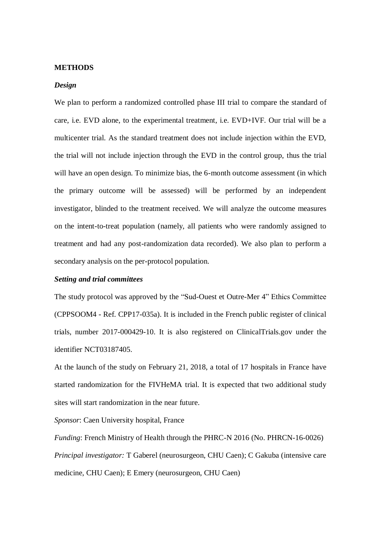#### **METHODS**

#### *Design*

We plan to perform a randomized controlled phase III trial to compare the standard of care, i.e. EVD alone, to the experimental treatment, i.e. EVD+IVF. Our trial will be a multicenter trial. As the standard treatment does not include injection within the EVD, the trial will not include injection through the EVD in the control group, thus the trial will have an open design. To minimize bias, the 6-month outcome assessment (in which the primary outcome will be assessed) will be performed by an independent investigator, blinded to the treatment received. We will analyze the outcome measures on the intent-to-treat population (namely, all patients who were randomly assigned to treatment and had any post-randomization data recorded). We also plan to perform a secondary analysis on the per-protocol population.

#### *Setting and trial committees*

The study protocol was approved by the "Sud-Ouest et Outre-Mer 4" Ethics Committee (CPPSOOM4 - Ref. CPP17-035a). It is included in the French public register of clinical trials, number 2017-000429-10. It is also registered on ClinicalTrials.gov under the identifier NCT03187405.

At the launch of the study on February 21, 2018, a total of 17 hospitals in France have started randomization for the FIVHeMA trial. It is expected that two additional study sites will start randomization in the near future.

*Sponsor*: Caen University hospital, France

*Funding*: French Ministry of Health through the PHRC-N 2016 (No. PHRCN-16-0026) *Principal investigator:* T Gaberel (neurosurgeon, CHU Caen); C Gakuba (intensive care medicine, CHU Caen); E Emery (neurosurgeon, CHU Caen)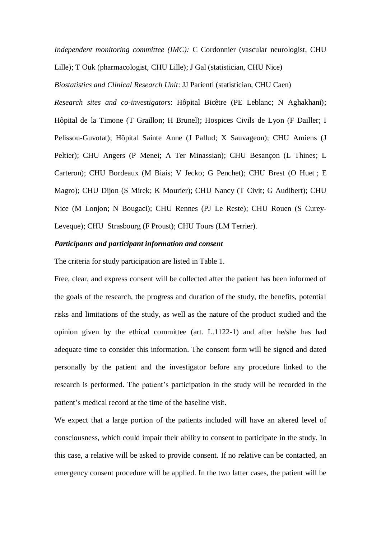*Independent monitoring committee (IMC):* C Cordonnier (vascular neurologist, CHU

Lille); T Ouk (pharmacologist, CHU Lille); J Gal (statistician, CHU Nice)

*Biostatistics and Clinical Research Unit*: JJ Parienti (statistician, CHU Caen)

*Research sites and co-investigators*: Hôpital Bicêtre (PE Leblanc; N Aghakhani); Hôpital de la Timone (T Graillon; H Brunel); Hospices Civils de Lyon (F Dailler; I Pelissou-Guvotat); Hôpital Sainte Anne (J Pallud; X Sauvageon); CHU Amiens (J Peltier); CHU Angers (P Menei; A Ter Minassian); CHU Besançon (L Thines; L Carteron); CHU Bordeaux (M Biais; V Jecko; G Penchet); CHU Brest (O Huet ; E Magro); CHU Dijon (S Mirek; K Mourier); CHU Nancy (T Civit; G Audibert); CHU Nice (M Lonjon; N Bougaci); CHU Rennes (PJ Le Reste); CHU Rouen (S Curey-Leveque); CHU Strasbourg (F Proust); CHU Tours (LM Terrier).

#### *Participants and participant information and consent*

The criteria for study participation are listed in Table 1.

Free, clear, and express consent will be collected after the patient has been informed of the goals of the research, the progress and duration of the study, the benefits, potential risks and limitations of the study, as well as the nature of the product studied and the opinion given by the ethical committee (art. L.1122-1) and after he/she has had adequate time to consider this information. The consent form will be signed and dated personally by the patient and the investigator before any procedure linked to the research is performed. The patient's participation in the study will be recorded in the patient's medical record at the time of the baseline visit.

We expect that a large portion of the patients included will have an altered level of consciousness, which could impair their ability to consent to participate in the study. In this case, a relative will be asked to provide consent. If no relative can be contacted, an emergency consent procedure will be applied. In the two latter cases, the patient will be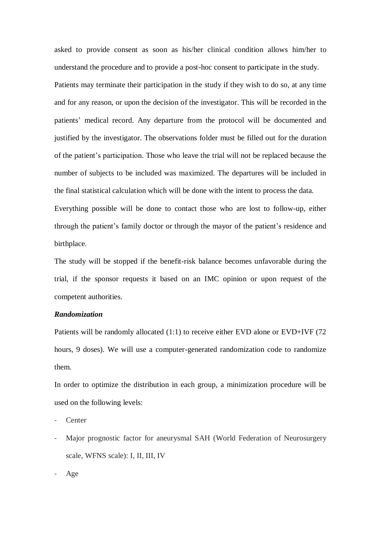asked to provide consent as soon as his/her clinical condition allows him/her to understand the procedure and to provide a post-hoc consent to participate in the study. Patients may terminate their participation in the study if they wish to do so, at any time and for any reason, or upon the decision of the investigator. This will be recorded in the patients' medical record. Any departure from the protocol will be documented and justified by the investigator. The observations folder must be filled out for the duration of the patient's participation. Those who leave the trial will not be replaced because the number of subjects to be included was maximized. The departures will be included in the final statistical calculation which will be done with the intent to process the data. Everything possible will be done to contact those who are lost to follow-up, either through the patient's family doctor or through the mayor of the patient's residence and

birthplace.

The study will be stopped if the benefit-risk balance becomes unfavorable during the trial, if the sponsor requests it based on an IMC opinion or upon request of the competent authorities.

#### *Randomization*

Patients will be randomly allocated (1:1) to receive either EVD alone or EVD+IVF (72 hours, 9 doses). We will use a computer-generated randomization code to randomize them.

In order to optimize the distribution in each group, a minimization procedure will be used on the following levels:

**Center** 

- Major prognostic factor for aneurysmal SAH (World Federation of Neurosurgery scale, WFNS scale): I, II, III, IV

Age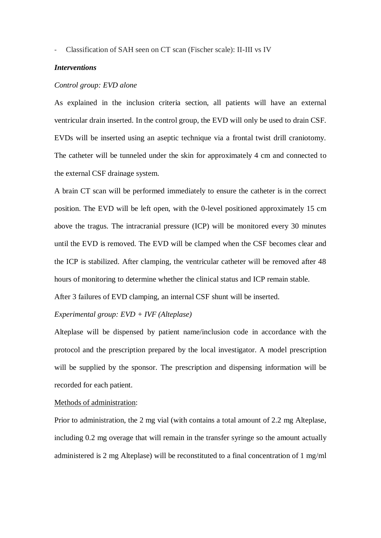- Classification of SAH seen on CT scan (Fischer scale): II-III vs IV

#### *Interventions*

#### *Control group: EVD alone*

As explained in the inclusion criteria section, all patients will have an external ventricular drain inserted. In the control group, the EVD will only be used to drain CSF. EVDs will be inserted using an aseptic technique via a frontal twist drill craniotomy. The catheter will be tunneled under the skin for approximately 4 cm and connected to the external CSF drainage system.

A brain CT scan will be performed immediately to ensure the catheter is in the correct position. The EVD will be left open, with the 0-level positioned approximately 15 cm above the tragus. The intracranial pressure (ICP) will be monitored every 30 minutes until the EVD is removed. The EVD will be clamped when the CSF becomes clear and the ICP is stabilized. After clamping, the ventricular catheter will be removed after 48 hours of monitoring to determine whether the clinical status and ICP remain stable.

After 3 failures of EVD clamping, an internal CSF shunt will be inserted.

#### *Experimental group: EVD + IVF (Alteplase)*

Alteplase will be dispensed by patient name/inclusion code in accordance with the protocol and the prescription prepared by the local investigator. A model prescription will be supplied by the sponsor. The prescription and dispensing information will be recorded for each patient.

#### Methods of administration:

Prior to administration, the 2 mg vial (with contains a total amount of 2.2 mg Alteplase, including 0.2 mg overage that will remain in the transfer syringe so the amount actually administered is 2 mg Alteplase) will be reconstituted to a final concentration of 1 mg/ml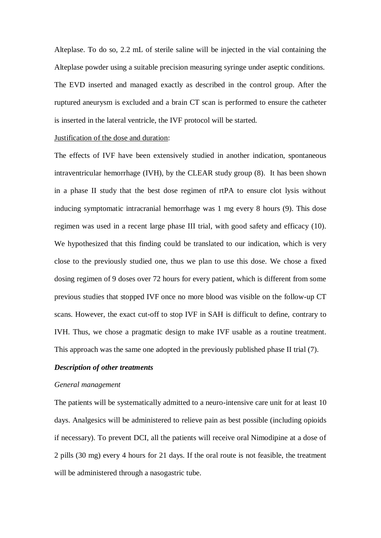Alteplase. To do so, 2.2 mL of sterile saline will be injected in the vial containing the Alteplase powder using a suitable precision measuring syringe under aseptic conditions. The EVD inserted and managed exactly as described in the control group. After the ruptured aneurysm is excluded and a brain CT scan is performed to ensure the catheter is inserted in the lateral ventricle, the IVF protocol will be started.

#### Justification of the dose and duration:

The effects of IVF have been extensively studied in another indication, spontaneous intraventricular hemorrhage (IVH), by the CLEAR study group (8). It has been shown in a phase II study that the best dose regimen of rtPA to ensure clot lysis without inducing symptomatic intracranial hemorrhage was 1 mg every 8 hours (9). This dose regimen was used in a recent large phase III trial, with good safety and efficacy (10). We hypothesized that this finding could be translated to our indication, which is very close to the previously studied one, thus we plan to use this dose. We chose a fixed dosing regimen of 9 doses over 72 hours for every patient, which is different from some previous studies that stopped IVF once no more blood was visible on the follow-up CT scans. However, the exact cut-off to stop IVF in SAH is difficult to define, contrary to IVH. Thus, we chose a pragmatic design to make IVF usable as a routine treatment. This approach was the same one adopted in the previously published phase II trial (7).

#### *Description of other treatments*

#### *General management*

The patients will be systematically admitted to a neuro-intensive care unit for at least 10 days. Analgesics will be administered to relieve pain as best possible (including opioids if necessary). To prevent DCI, all the patients will receive oral Nimodipine at a dose of 2 pills (30 mg) every 4 hours for 21 days. If the oral route is not feasible, the treatment will be administered through a nasogastric tube.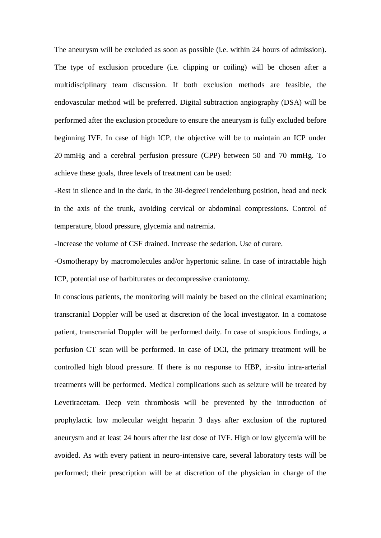The aneurysm will be excluded as soon as possible (i.e. within 24 hours of admission). The type of exclusion procedure (i.e. clipping or coiling) will be chosen after a multidisciplinary team discussion. If both exclusion methods are feasible, the endovascular method will be preferred. Digital subtraction angiography (DSA) will be performed after the exclusion procedure to ensure the aneurysm is fully excluded before beginning IVF. In case of high ICP, the objective will be to maintain an ICP under 20 mmHg and a cerebral perfusion pressure (CPP) between 50 and 70 mmHg. To achieve these goals, three levels of treatment can be used:

-Rest in silence and in the dark, in the 30-degreeTrendelenburg position, head and neck in the axis of the trunk, avoiding cervical or abdominal compressions. Control of temperature, blood pressure, glycemia and natremia.

-Increase the volume of CSF drained. Increase the sedation. Use of curare.

-Osmotherapy by macromolecules and/or hypertonic saline. In case of intractable high ICP, potential use of barbiturates or decompressive craniotomy.

In conscious patients, the monitoring will mainly be based on the clinical examination; transcranial Doppler will be used at discretion of the local investigator. In a comatose patient, transcranial Doppler will be performed daily. In case of suspicious findings, a perfusion CT scan will be performed. In case of DCI, the primary treatment will be controlled high blood pressure. If there is no response to HBP, in-situ intra-arterial treatments will be performed. Medical complications such as seizure will be treated by Levetiracetam. Deep vein thrombosis will be prevented by the introduction of prophylactic low molecular weight heparin 3 days after exclusion of the ruptured aneurysm and at least 24 hours after the last dose of IVF. High or low glycemia will be avoided. As with every patient in neuro-intensive care, several laboratory tests will be performed; their prescription will be at discretion of the physician in charge of the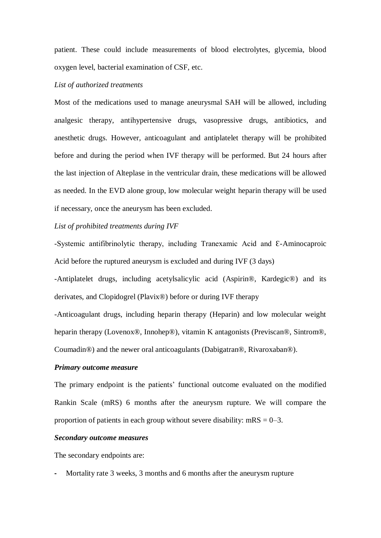patient. These could include measurements of blood electrolytes, glycemia, blood oxygen level, bacterial examination of CSF, etc.

#### *List of authorized treatments*

Most of the medications used to manage aneurysmal SAH will be allowed, including analgesic therapy, antihypertensive drugs, vasopressive drugs, antibiotics, and anesthetic drugs. However, anticoagulant and antiplatelet therapy will be prohibited before and during the period when IVF therapy will be performed. But 24 hours after the last injection of Alteplase in the ventricular drain, these medications will be allowed as needed. In the EVD alone group, low molecular weight heparin therapy will be used if necessary, once the aneurysm has been excluded.

#### *List of prohibited treatments during IVF*

-Systemic antifibrinolytic therapy, including Tranexamic Acid and Ɛ-Aminocaproic Acid before the ruptured aneurysm is excluded and during IVF (3 days)

-Antiplatelet drugs, including acetylsalicylic acid (Aspirin®, Kardegic®) and its derivates, and Clopidogrel (Plavix®) before or during IVF therapy

-Anticoagulant drugs, including heparin therapy (Heparin) and low molecular weight heparin therapy (Lovenox®, Innohep®), vitamin K antagonists (Previscan®, Sintrom®, Coumadin®) and the newer oral anticoagulants (Dabigatran®, Rivaroxaban®).

#### *Primary outcome measure*

The primary endpoint is the patients' functional outcome evaluated on the modified Rankin Scale (mRS) 6 months after the aneurysm rupture. We will compare the proportion of patients in each group without severe disability:  $mRS = 0-3$ .

#### *Secondary outcome measures*

The secondary endpoints are:

**-** Mortality rate 3 weeks, 3 months and 6 months after the aneurysm rupture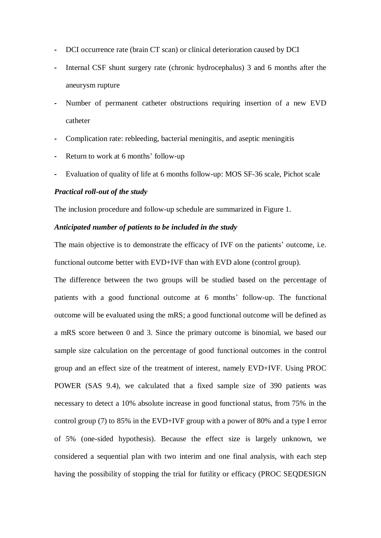- **-** DCI occurrence rate (brain CT scan) or clinical deterioration caused by DCI
- **-** Internal CSF shunt surgery rate (chronic hydrocephalus) 3 and 6 months after the aneurysm rupture
- **-** Number of permanent catheter obstructions requiring insertion of a new EVD catheter
- **-** Complication rate: rebleeding, bacterial meningitis, and aseptic meningitis
- **-** Return to work at 6 months' follow-up
- **-** Evaluation of quality of life at 6 months follow-up: MOS SF-36 scale, Pichot scale

#### *Practical roll-out of the study*

The inclusion procedure and follow-up schedule are summarized in Figure 1.

#### *Anticipated number of patients to be included in the study*

The main objective is to demonstrate the efficacy of IVF on the patients' outcome, i.e. functional outcome better with EVD+IVF than with EVD alone (control group).

The difference between the two groups will be studied based on the percentage of patients with a good functional outcome at 6 months' follow-up. The functional outcome will be evaluated using the mRS; a good functional outcome will be defined as a mRS score between 0 and 3. Since the primary outcome is binomial, we based our sample size calculation on the percentage of good functional outcomes in the control group and an effect size of the treatment of interest, namely EVD+IVF. Using PROC POWER (SAS 9.4), we calculated that a fixed sample size of 390 patients was necessary to detect a 10% absolute increase in good functional status, from 75% in the control group (7) to 85% in the EVD+IVF group with a power of 80% and a type I error of 5% (one-sided hypothesis). Because the effect size is largely unknown, we considered a sequential plan with two interim and one final analysis, with each step having the possibility of stopping the trial for futility or efficacy (PROC SEQDESIGN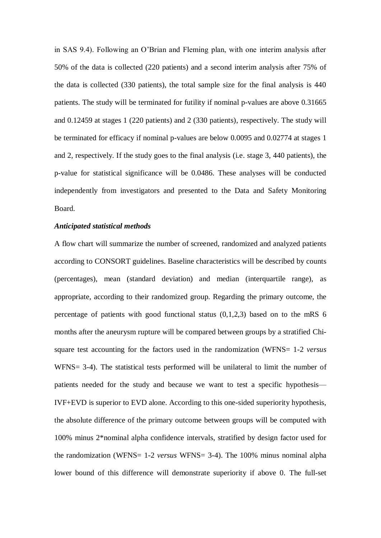in SAS 9.4). Following an O'Brian and Fleming plan, with one interim analysis after 50% of the data is collected (220 patients) and a second interim analysis after 75% of the data is collected (330 patients), the total sample size for the final analysis is 440 patients. The study will be terminated for futility if nominal p-values are above 0.31665 and 0.12459 at stages 1 (220 patients) and 2 (330 patients), respectively. The study will be terminated for efficacy if nominal p-values are below 0.0095 and 0.02774 at stages 1 and 2, respectively. If the study goes to the final analysis (i.e. stage 3, 440 patients), the p-value for statistical significance will be 0.0486. These analyses will be conducted independently from investigators and presented to the Data and Safety Monitoring Board.

#### *Anticipated statistical methods*

A flow chart will summarize the number of screened, randomized and analyzed patients according to CONSORT guidelines. Baseline characteristics will be described by counts (percentages), mean (standard deviation) and median (interquartile range), as appropriate, according to their randomized group. Regarding the primary outcome, the percentage of patients with good functional status (0,1,2,3) based on to the mRS 6 months after the aneurysm rupture will be compared between groups by a stratified Chisquare test accounting for the factors used in the randomization (WFNS= 1-2 *versus* WFNS= 3-4). The statistical tests performed will be unilateral to limit the number of patients needed for the study and because we want to test a specific hypothesis— IVF+EVD is superior to EVD alone. According to this one-sided superiority hypothesis, the absolute difference of the primary outcome between groups will be computed with 100% minus 2\*nominal alpha confidence intervals, stratified by design factor used for the randomization (WFNS= 1-2 *versus* WFNS= 3-4). The 100% minus nominal alpha lower bound of this difference will demonstrate superiority if above 0. The full-set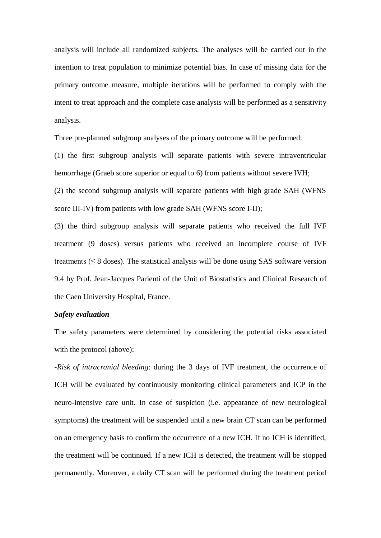analysis will include all randomized subjects. The analyses will be carried out in the intention to treat population to minimize potential bias. In case of missing data for the primary outcome measure, multiple iterations will be performed to comply with the intent to treat approach and the complete case analysis will be performed as a sensitivity analysis.

Three pre-planned subgroup analyses of the primary outcome will be performed:

(1) the first subgroup analysis will separate patients with severe intraventricular hemorrhage (Graeb score superior or equal to 6) from patients without severe IVH; (2) the second subgroup analysis will separate patients with high grade SAH (WFNS score III-IV) from patients with low grade SAH (WFNS score I-II);

(3) the third subgroup analysis will separate patients who received the full IVF treatment (9 doses) versus patients who received an incomplete course of IVF treatments  $(\leq 8$  doses). The statistical analysis will be done using SAS software version 9.4 by Prof. Jean-Jacques Parienti of the Unit of Biostatistics and Clinical Research of the Caen University Hospital, France.

#### *Safety evaluation*

The safety parameters were determined by considering the potential risks associated with the protocol (above):

-*Risk of intracranial bleeding*: during the 3 days of IVF treatment, the occurrence of ICH will be evaluated by continuously monitoring clinical parameters and ICP in the neuro-intensive care unit. In case of suspicion (i.e. appearance of new neurological symptoms) the treatment will be suspended until a new brain CT scan can be performed on an emergency basis to confirm the occurrence of a new ICH. If no ICH is identified, the treatment will be continued. If a new ICH is detected, the treatment will be stopped permanently. Moreover, a daily CT scan will be performed during the treatment period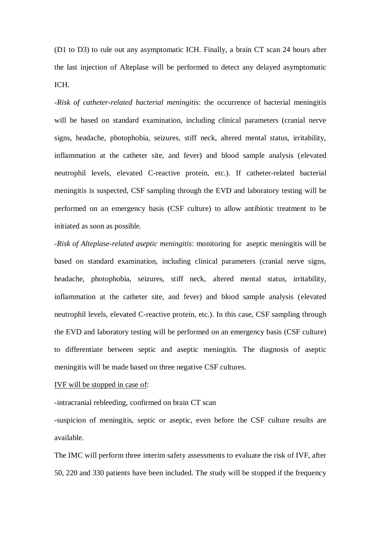(D1 to D3) to rule out any asymptomatic ICH. Finally, a brain CT scan 24 hours after the last injection of Alteplase will be performed to detect any delayed asymptomatic ICH.

-*Risk of catheter-related bacterial meningitis*: the occurrence of bacterial meningitis will be based on standard examination, including clinical parameters (cranial nerve signs, headache, photophobia, seizures, stiff neck, altered mental status, irritability, inflammation at the catheter site, and fever) and blood sample analysis (elevated neutrophil levels, elevated C-reactive protein, etc.). If catheter-related bacterial meningitis is suspected, CSF sampling through the EVD and laboratory testing will be performed on an emergency basis (CSF culture) to allow antibiotic treatment to be initiated as soon as possible.

-*Risk of Alteplase-related aseptic meningitis*: monitoring for aseptic meningitis will be based on standard examination, including clinical parameters (cranial nerve signs, headache, photophobia, seizures, stiff neck, altered mental status, irritability, inflammation at the catheter site, and fever) and blood sample analysis (elevated neutrophil levels, elevated C-reactive protein, etc.). In this case, CSF sampling through the EVD and laboratory testing will be performed on an emergency basis (CSF culture) to differentiate between septic and aseptic meningitis. The diagnosis of aseptic meningitis will be made based on three negative CSF cultures.

#### IVF will be stopped in case of:

-intracranial rebleeding, confirmed on brain CT scan

-suspicion of meningitis, septic or aseptic, even before the CSF culture results are available.

The IMC will perform three interim safety assessments to evaluate the risk of IVF, after 50, 220 and 330 patients have been included. The study will be stopped if the frequency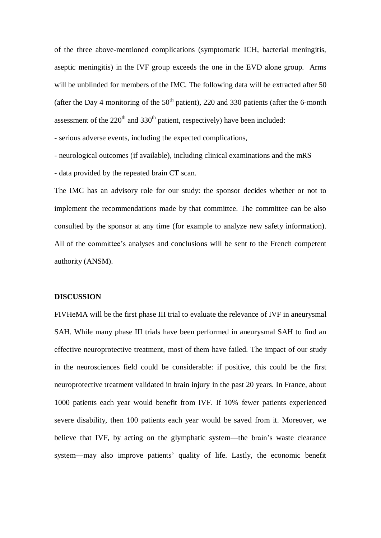of the three above-mentioned complications (symptomatic ICH, bacterial meningitis, aseptic meningitis) in the IVF group exceeds the one in the EVD alone group. Arms will be unblinded for members of the IMC. The following data will be extracted after 50 (after the Day 4 monitoring of the  $50<sup>th</sup>$  patient), 220 and 330 patients (after the 6-month assessment of the  $220<sup>th</sup>$  and  $330<sup>th</sup>$  patient, respectively) have been included:

- serious adverse events, including the expected complications,

- neurological outcomes (if available), including clinical examinations and the mRS

- data provided by the repeated brain CT scan.

The IMC has an advisory role for our study: the sponsor decides whether or not to implement the recommendations made by that committee. The committee can be also consulted by the sponsor at any time (for example to analyze new safety information). All of the committee's analyses and conclusions will be sent to the French competent authority (ANSM).

#### **DISCUSSION**

FIVHeMA will be the first phase III trial to evaluate the relevance of IVF in aneurysmal SAH. While many phase III trials have been performed in aneurysmal SAH to find an effective neuroprotective treatment, most of them have failed. The impact of our study in the neurosciences field could be considerable: if positive, this could be the first neuroprotective treatment validated in brain injury in the past 20 years. In France, about 1000 patients each year would benefit from IVF. If 10% fewer patients experienced severe disability, then 100 patients each year would be saved from it. Moreover, we believe that IVF, by acting on the glymphatic system—the brain's waste clearance system—may also improve patients' quality of life. Lastly, the economic benefit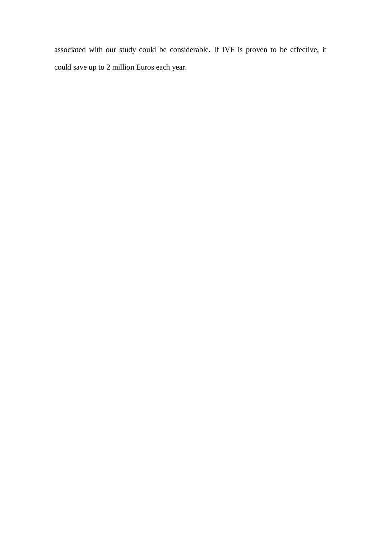associated with our study could be considerable. If IVF is proven to be effective, it could save up to 2 million Euros each year.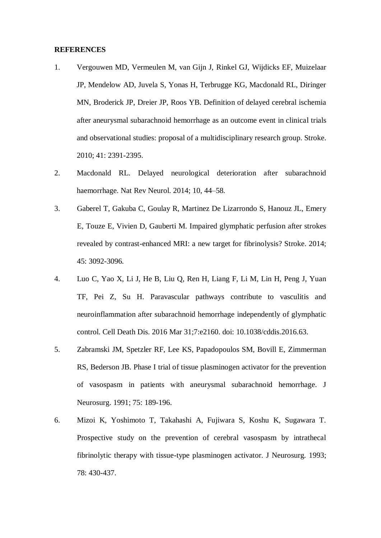#### **REFERENCES**

- 1. Vergouwen MD, Vermeulen M, van Gijn J, Rinkel GJ, Wijdicks EF, Muizelaar JP, Mendelow AD, Juvela S, Yonas H, Terbrugge KG, Macdonald RL, Diringer MN, Broderick JP, Dreier JP, Roos YB. Definition of delayed cerebral ischemia after aneurysmal subarachnoid hemorrhage as an outcome event in clinical trials and observational studies: proposal of a multidisciplinary research group. Stroke. 2010; 41: 2391-2395.
- 2. Macdonald RL. Delayed neurological deterioration after subarachnoid haemorrhage. Nat Rev Neurol. 2014; 10, 44–58.
- 3. Gaberel T, Gakuba C, Goulay R, Martinez De Lizarrondo S, Hanouz JL, Emery E, Touze E, Vivien D, Gauberti M. Impaired glymphatic perfusion after strokes revealed by contrast-enhanced MRI: a new target for fibrinolysis? Stroke. 2014; 45: 3092-3096.
- 4. Luo C, Yao X, Li J, He B, Liu Q, Ren H, Liang F, Li M, Lin H, Peng J, Yuan TF, Pei Z, Su H. Paravascular pathways contribute to vasculitis and neuroinflammation after subarachnoid hemorrhage independently of glymphatic control. Cell Death Dis. 2016 Mar 31;7:e2160. doi: 10.1038/cddis.2016.63.
- 5. Zabramski JM, Spetzler RF, Lee KS, Papadopoulos SM, Bovill E, Zimmerman RS, Bederson JB. Phase I trial of tissue plasminogen activator for the prevention of vasospasm in patients with aneurysmal subarachnoid hemorrhage. J Neurosurg. 1991; 75: 189-196.
- 6. Mizoi K, Yoshimoto T, Takahashi A, Fujiwara S, Koshu K, Sugawara T. Prospective study on the prevention of cerebral vasospasm by intrathecal fibrinolytic therapy with tissue-type plasminogen activator. J Neurosurg. 1993; 78: 430-437.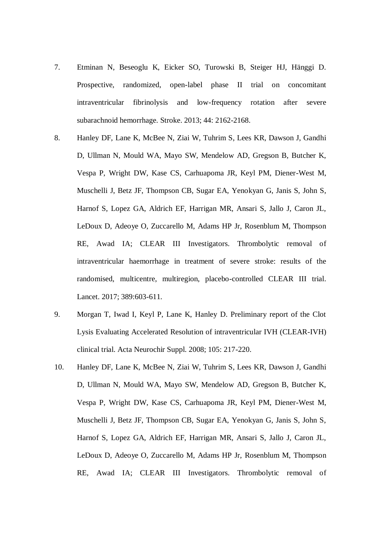- 7. Etminan N, Beseoglu K, Eicker SO, Turowski B, Steiger HJ, Hänggi D. Prospective, randomized, open-label phase II trial on concomitant intraventricular fibrinolysis and low-frequency rotation after severe subarachnoid hemorrhage. Stroke. 2013; 44: 2162-2168.
- 8. Hanley DF, Lane K, McBee N, Ziai W, Tuhrim S, Lees KR, Dawson J, Gandhi D, Ullman N, Mould WA, Mayo SW, Mendelow AD, Gregson B, Butcher K, Vespa P, Wright DW, Kase CS, Carhuapoma JR, Keyl PM, Diener-West M, Muschelli J, Betz JF, Thompson CB, Sugar EA, Yenokyan G, Janis S, John S, Harnof S, Lopez GA, Aldrich EF, Harrigan MR, Ansari S, Jallo J, Caron JL, LeDoux D, Adeoye O, Zuccarello M, Adams HP Jr, Rosenblum M, Thompson RE, Awad IA; CLEAR III Investigators. Thrombolytic removal of intraventricular haemorrhage in treatment of severe stroke: results of the randomised, multicentre, multiregion, placebo-controlled CLEAR III trial. Lancet. 2017; 389:603-611.
- 9. Morgan T, Iwad I, Keyl P, Lane K, Hanley D. Preliminary report of the Clot Lysis Evaluating Accelerated Resolution of intraventricular IVH (CLEAR-IVH) clinical trial. Acta Neurochir Suppl. 2008; 105: 217-220.
- 10. Hanley DF, Lane K, McBee N, Ziai W, Tuhrim S, Lees KR, Dawson J, Gandhi D, Ullman N, Mould WA, Mayo SW, Mendelow AD, Gregson B, Butcher K, Vespa P, Wright DW, Kase CS, Carhuapoma JR, Keyl PM, Diener-West M, Muschelli J, Betz JF, Thompson CB, Sugar EA, Yenokyan G, Janis S, John S, Harnof S, Lopez GA, Aldrich EF, Harrigan MR, Ansari S, Jallo J, Caron JL, LeDoux D, Adeoye O, Zuccarello M, Adams HP Jr, Rosenblum M, Thompson RE, Awad IA; CLEAR III Investigators. Thrombolytic removal of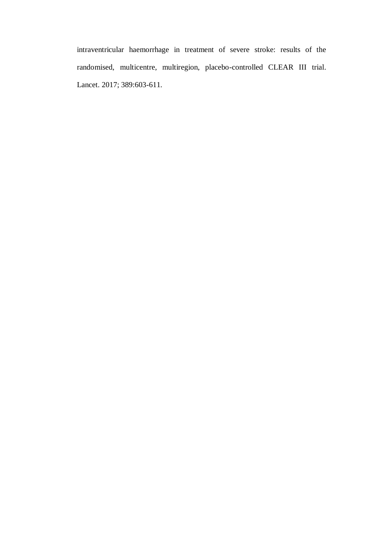intraventricular haemorrhage in treatment of severe stroke: results of the randomised, multicentre, multiregion, placebo-controlled CLEAR III trial. Lancet. 2017; 389:603-611.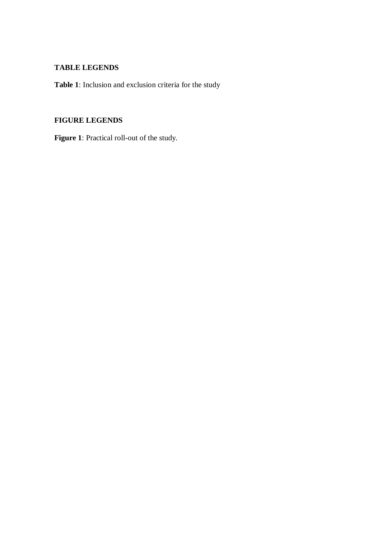### **TABLE LEGENDS**

**Table 1**: Inclusion and exclusion criteria for the study

### **FIGURE LEGENDS**

**Figure 1**: Practical roll-out of the study.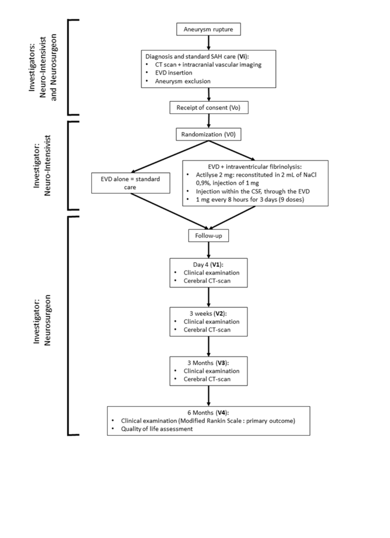